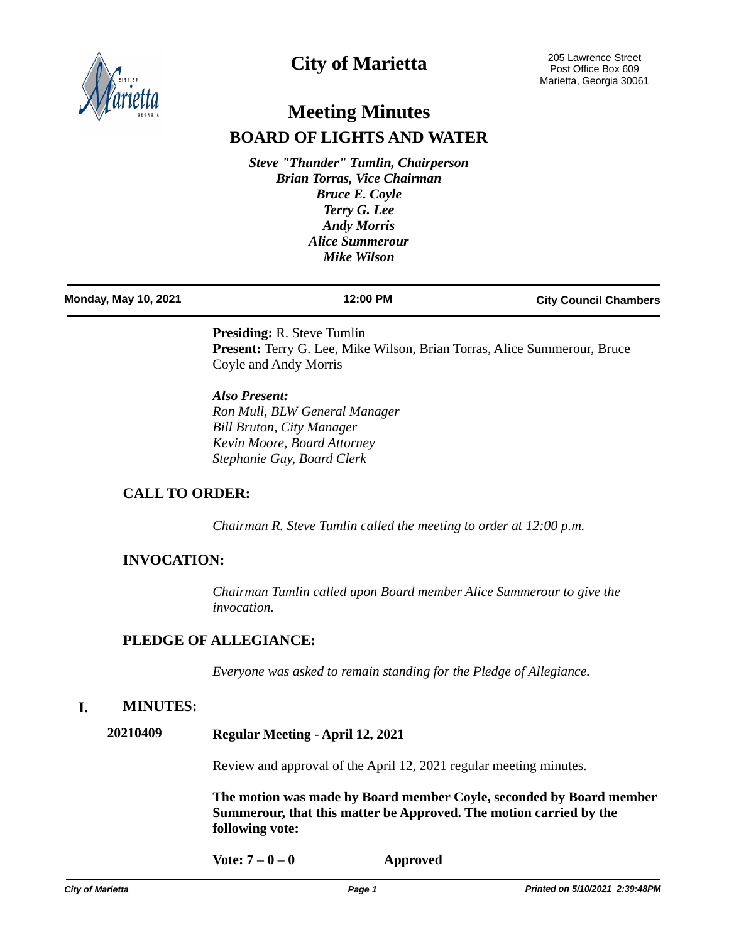

# **City of Marietta**

# **Meeting Minutes BOARD OF LIGHTS AND WATER**

*Steve "Thunder" Tumlin, Chairperson Brian Torras, Vice Chairman Bruce E. Coyle Terry G. Lee Andy Morris Alice Summerour Mike Wilson*

| <b>Monday, May 10, 2021</b> | 12:00 PM | <b>City Council Chambers</b> |
|-----------------------------|----------|------------------------------|
|                             |          |                              |

**Presiding:** R. Steve Tumlin **Present:** Terry G. Lee, Mike Wilson, Brian Torras, Alice Summerour, Bruce Coyle and Andy Morris

*Also Present: Ron Mull, BLW General Manager Bill Bruton, City Manager Kevin Moore, Board Attorney Stephanie Guy, Board Clerk*

# **CALL TO ORDER:**

*Chairman R. Steve Tumlin called the meeting to order at 12:00 p.m.*

# **INVOCATION:**

*Chairman Tumlin called upon Board member Alice Summerour to give the invocation.*

# **PLEDGE OF ALLEGIANCE:**

*Everyone was asked to remain standing for the Pledge of Allegiance.*

# **I. MINUTES:**

**20210409 Regular Meeting - April 12, 2021**

Review and approval of the April 12, 2021 regular meeting minutes.

**The motion was made by Board member Coyle, seconded by Board member Summerour, that this matter be Approved. The motion carried by the following vote:**

**Vote: 7 – 0 – 0 Approved**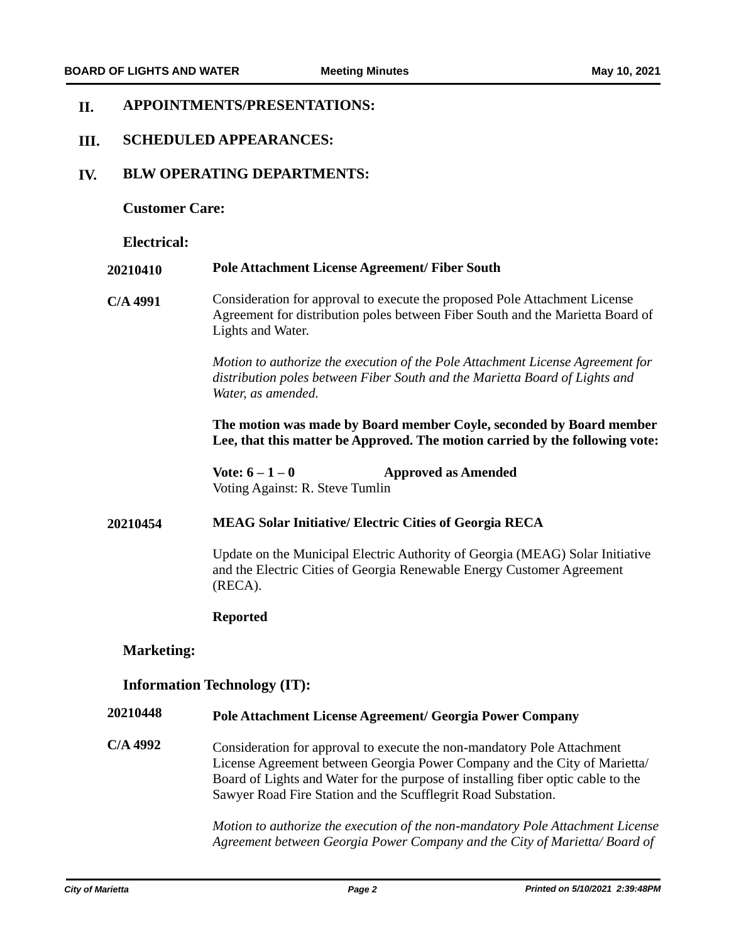#### **APPOINTMENTS/PRESENTATIONS: II.**

#### **SCHEDULED APPEARANCES: III.**

#### **BLW OPERATING DEPARTMENTS: IV.**

**Customer Care:**

**Electrical:**

#### **20210410 Pole Attachment License Agreement/ Fiber South**

**C/A 4991** Consideration for approval to execute the proposed Pole Attachment License Agreement for distribution poles between Fiber South and the Marietta Board of Lights and Water.

> *Motion to authorize the execution of the Pole Attachment License Agreement for distribution poles between Fiber South and the Marietta Board of Lights and Water, as amended.*

**The motion was made by Board member Coyle, seconded by Board member Lee, that this matter be Approved. The motion carried by the following vote:**

**Vote: 6 – 1 – 0 Approved as Amended** Voting Against: R. Steve Tumlin

### **20210454 MEAG Solar Initiative/ Electric Cities of Georgia RECA**

Update on the Municipal Electric Authority of Georgia (MEAG) Solar Initiative and the Electric Cities of Georgia Renewable Energy Customer Agreement (RECA).

### **Reported**

### **Marketing:**

### **Information Technology (IT):**

#### **20210448 Pole Attachment License Agreement/ Georgia Power Company**

**C/A 4992** Consideration for approval to execute the non-mandatory Pole Attachment License Agreement between Georgia Power Company and the City of Marietta/ Board of Lights and Water for the purpose of installing fiber optic cable to the Sawyer Road Fire Station and the Scufflegrit Road Substation.

> *Motion to authorize the execution of the non-mandatory Pole Attachment License Agreement between Georgia Power Company and the City of Marietta/ Board of*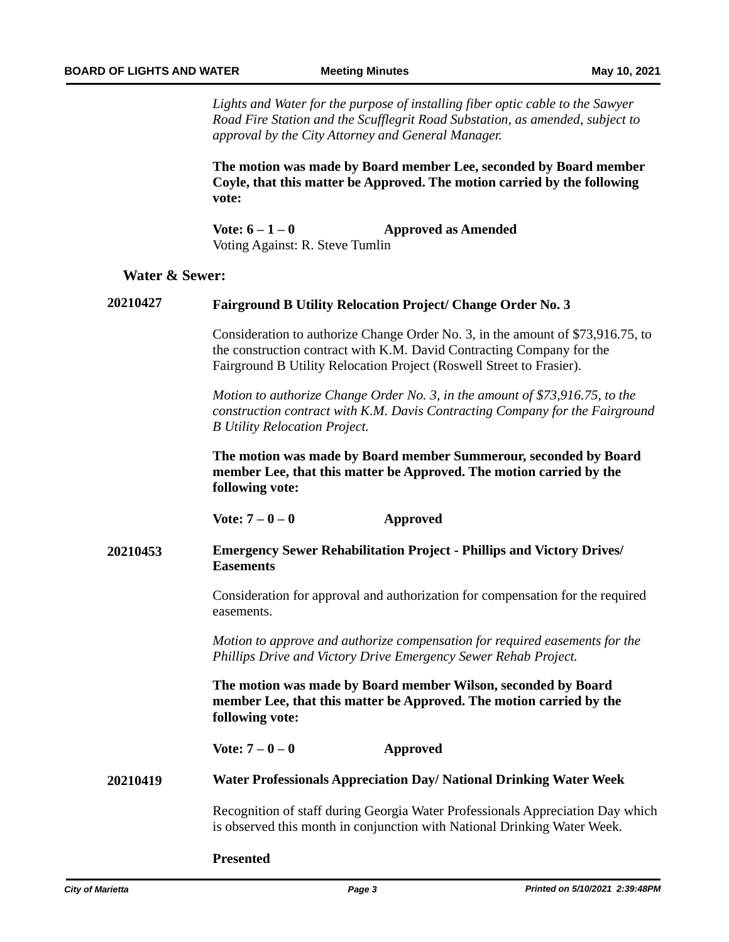*Lights and Water for the purpose of installing fiber optic cable to the Sawyer Road Fire Station and the Scufflegrit Road Substation, as amended, subject to approval by the City Attorney and General Manager.*

**The motion was made by Board member Lee, seconded by Board member Coyle, that this matter be Approved. The motion carried by the following vote:**

**Vote: 6 – 1 – 0 Approved as Amended** Voting Against: R. Steve Tumlin

### **Water & Sewer:**

# **20210427 Fairground B Utility Relocation Project/ Change Order No. 3**

Consideration to authorize Change Order No. 3, in the amount of \$73,916.75, to the construction contract with K.M. David Contracting Company for the Fairground B Utility Relocation Project (Roswell Street to Frasier).

*Motion to authorize Change Order No. 3, in the amount of \$73,916.75, to the construction contract with K.M. Davis Contracting Company for the Fairground B Utility Relocation Project.*

**The motion was made by Board member Summerour, seconded by Board member Lee, that this matter be Approved. The motion carried by the following vote:**

**Vote: 7 – 0 – 0 Approved**

### **20210453 Emergency Sewer Rehabilitation Project - Phillips and Victory Drives/ Easements**

Consideration for approval and authorization for compensation for the required easements.

*Motion to approve and authorize compensation for required easements for the Phillips Drive and Victory Drive Emergency Sewer Rehab Project.*

**The motion was made by Board member Wilson, seconded by Board member Lee, that this matter be Approved. The motion carried by the following vote:**

**Vote: 7 – 0 – 0 Approved**

**20210419 Water Professionals Appreciation Day/ National Drinking Water Week**

Recognition of staff during Georgia Water Professionals Appreciation Day which is observed this month in conjunction with National Drinking Water Week.

**Presented**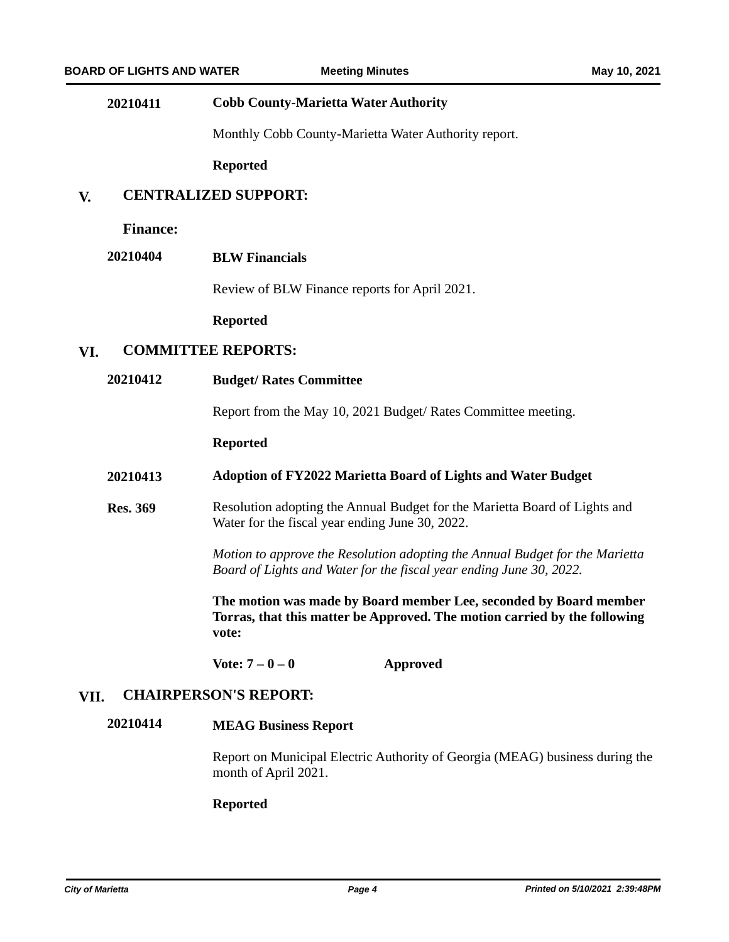### **20210411 Cobb County-Marietta Water Authority**

Monthly Cobb County-Marietta Water Authority report.

**Reported**

#### **CENTRALIZED SUPPORT: V.**

**Finance:**

# **20210404 BLW Financials**

Review of BLW Finance reports for April 2021.

**Reported**

### **VI. COMMITTEE REPORTS:**

**20210412 Budget/ Rates Committee**

Report from the May 10, 2021 Budget/ Rates Committee meeting.

#### **Reported**

#### **20210413 Adoption of FY2022 Marietta Board of Lights and Water Budget**

**Res. 369** Resolution adopting the Annual Budget for the Marietta Board of Lights and Water for the fiscal year ending June 30, 2022.

> *Motion to approve the Resolution adopting the Annual Budget for the Marietta Board of Lights and Water for the fiscal year ending June 30, 2022.*

> **The motion was made by Board member Lee, seconded by Board member Torras, that this matter be Approved. The motion carried by the following vote:**

**Vote: 7 – 0 – 0 Approved**

# **VII. CHAIRPERSON'S REPORT:**

# **20210414 MEAG Business Report**

Report on Municipal Electric Authority of Georgia (MEAG) business during the month of April 2021.

#### **Reported**